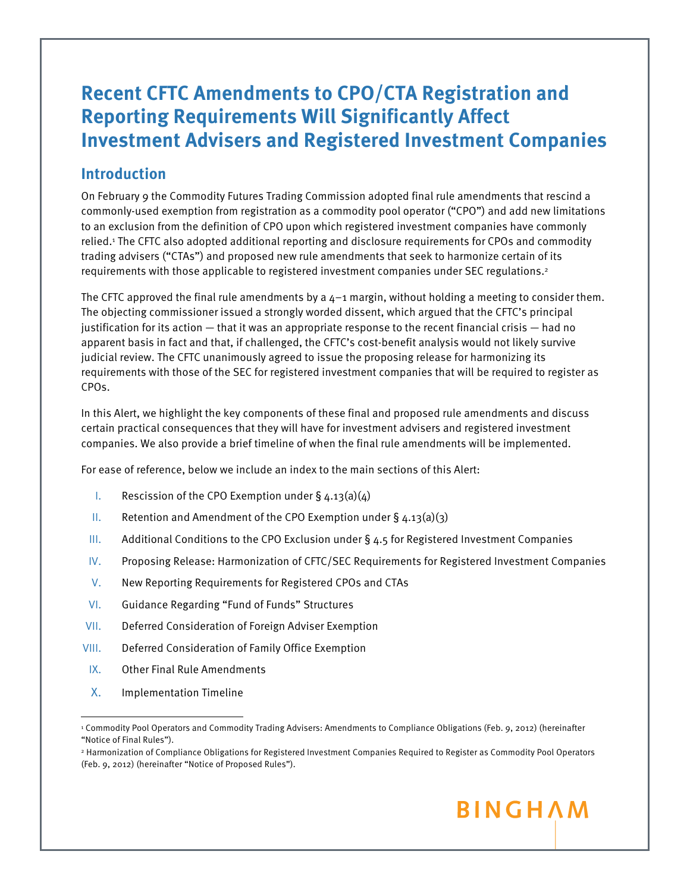# **Recent CFTC Amendments to CPO/CTA Registration and Reporting Requirements Will Significantly Affect Investment Advisers and Registered Investment Companies**

### **Introduction**

On February 9 the Commodity Futures Trading Commission adopted final rule amendments that rescind a commonly-used exemption from registration as a commodity pool operator ("CPO") and add new limitations to an exclusion from the definition of CPO upon which registered investment companies have commonly relied.1 The CFTC also adopted additional reporting and disclosure requirements for CPOs and commodity trading advisers ("CTAs") and proposed new rule amendments that seek to harmonize certain of its requirements with those applicable to registered investment companies under SEC regulations.2

The CFTC approved the final rule amendments by a  $4-1$  margin, without holding a meeting to consider them. The objecting commissioner issued a strongly worded dissent, which argued that the CFTC's principal justification for its action — that it was an appropriate response to the recent financial crisis — had no apparent basis in fact and that, if challenged, the CFTC's cost-benefit analysis would not likely survive judicial review. The CFTC unanimously agreed to issue the proposing release for harmonizing its requirements with those of the SEC for registered investment companies that will be required to register as CPOs.

In this Alert, we highlight the key components of these final and proposed rule amendments and discuss certain practical consequences that they will have for investment advisers and registered investment companies. We also provide a brief timeline of when the final rule amendments will be implemented.

For ease of reference, below we include an index to the main sections of this Alert:

- I. Rescission of the CPO Exemption under  $\S$  4.13(a)(4)
- II. Retention and Amendment of the CPO Exemption under  $\S$  4.13(a)(3)
- III. Additional Conditions to the CPO Exclusion under § 4.5 for Registered Investment Companies
- IV. Proposing Release: Harmonization of CFTC/SEC Requirements for Registered Investment Companies
- V. New Reporting Requirements for Registered CPOs and CTAs
- VI. Guidance Regarding "Fund of Funds" Structures
- VII. Deferred Consideration of Foreign Adviser Exemption
- VIII. Deferred Consideration of Family Office Exemption
- IX. Other Final Rule Amendments
- X. Implementation Timeline

<sup>2</sup> Harmonization of Compliance Obligations for Registered Investment Companies Required to Register as Commodity Pool Operators (Feb. 9, 2012) (hereinafter "Notice of Proposed Rules").



<sup>1</sup> Commodity Pool Operators and Commodity Trading Advisers: Amendments to Compliance Obligations (Feb. 9, 2012) (hereinafter "Notice of Final Rules").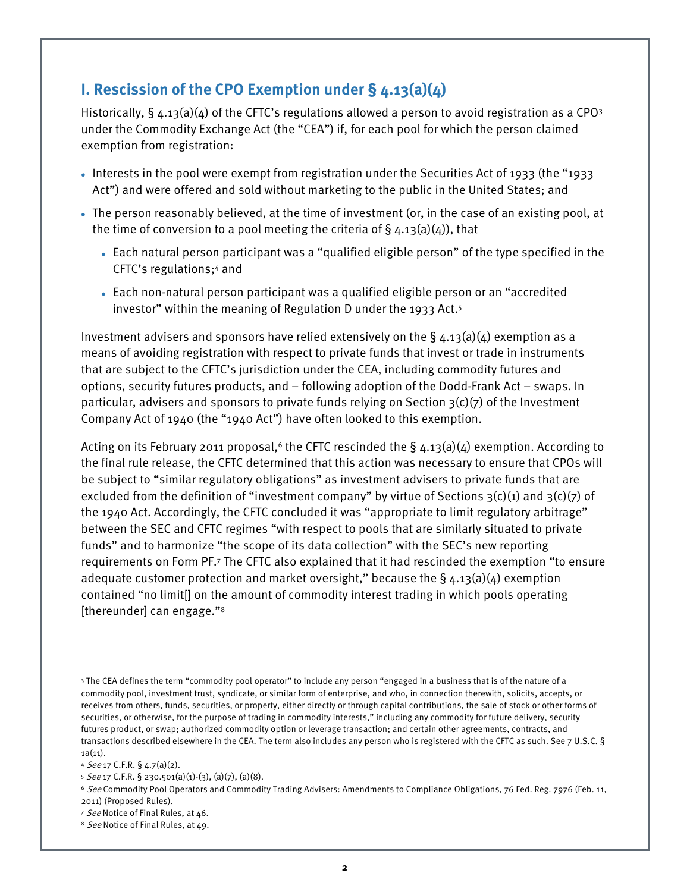## **I. Rescission of the CPO Exemption under § 4.13(a)(4)**

Historically,  $\S$  4.13(a)( $\Delta$ ) of the CFTC's regulations allowed a person to avoid registration as a CPO3 under the Commodity Exchange Act (the "CEA") if, for each pool for which the person claimed exemption from registration:

- Interests in the pool were exempt from registration under the Securities Act of 1933 (the "1933 Act") and were offered and sold without marketing to the public in the United States; and
- The person reasonably believed, at the time of investment (or, in the case of an existing pool, at the time of conversion to a pool meeting the criteria of  $\S$  4.13(a)(4)), that
	- Each natural person participant was a "qualified eligible person" of the type specified in the CFTC's regulations;4 and
	- Each non-natural person participant was a qualified eligible person or an "accredited investor" within the meaning of Regulation D under the 1933 Act.5

Investment advisers and sponsors have relied extensively on the §  $\Delta$ .13(a)( $\Delta$ ) exemption as a means of avoiding registration with respect to private funds that invest or trade in instruments that are subject to the CFTC's jurisdiction under the CEA, including commodity futures and options, security futures products, and – following adoption of the Dodd-Frank Act – swaps. In particular, advisers and sponsors to private funds relying on Section  $3(c)(7)$  of the Investment Company Act of 1940 (the "1940 Act") have often looked to this exemption.

Acting on its February 2011 proposal,<sup>6</sup> the CFTC rescinded the  $\S$  4.13(a)(4) exemption. According to the final rule release, the CFTC determined that this action was necessary to ensure that CPOs will be subject to "similar regulatory obligations" as investment advisers to private funds that are excluded from the definition of "investment company" by virtue of Sections  $3(c)(1)$  and  $3(c)(7)$  of the 1940 Act. Accordingly, the CFTC concluded it was "appropriate to limit regulatory arbitrage" between the SEC and CFTC regimes "with respect to pools that are similarly situated to private funds" and to harmonize "the scope of its data collection" with the SEC's new reporting requirements on Form PF.7 The CFTC also explained that it had rescinded the exemption "to ensure adequate customer protection and market oversight," because the  $\S$  4.13(a)(4) exemption contained "no limit[] on the amount of commodity interest trading in which pools operating [thereunder] can engage."8

֦

 3 The CEA defines the term "commodity pool operator" to include any person "engaged in a business that is of the nature of a commodity pool, investment trust, syndicate, or similar form of enterprise, and who, in connection therewith, solicits, accepts, or receives from others, funds, securities, or property, either directly or through capital contributions, the sale of stock or other forms of securities, or otherwise, for the purpose of trading in commodity interests," including any commodity for future delivery, security futures product, or swap; authorized commodity option or leverage transaction; and certain other agreements, contracts, and transactions described elsewhere in the CEA. The term also includes any person who is registered with the CFTC as such. See 7 U.S.C. §  $1a(11)$ .

<sup>4</sup> See 17 C.F.R. § 4.7(a)(2).

 $5$  See 17 C.F.R. § 230.501(a)(1)-(3), (a)(7), (a)(8).

<sup>&</sup>lt;sup>6</sup> See Commodity Pool Operators and Commodity Trading Advisers: Amendments to Compliance Obligations, 76 Fed. Reg. 7976 (Feb. 11, 2011) (Proposed Rules).

<sup>7</sup> See Notice of Final Rules, at 46.

<sup>&</sup>lt;sup>8</sup> See Notice of Final Rules, at 49.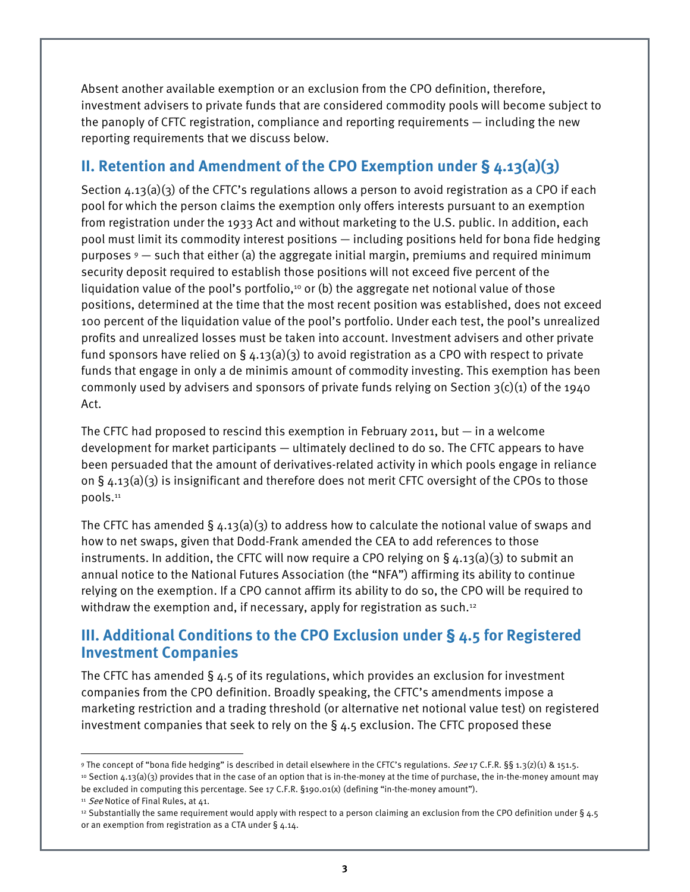Absent another available exemption or an exclusion from the CPO definition, therefore, investment advisers to private funds that are considered commodity pools will become subject to the panoply of CFTC registration, compliance and reporting requirements — including the new reporting requirements that we discuss below.

## **II. Retention and Amendment of the CPO Exemption under § 4.13(a)(3)**

Section  $4.13(a)(3)$  of the CFTC's regulations allows a person to avoid registration as a CPO if each pool for which the person claims the exemption only offers interests pursuant to an exemption from registration under the 1933 Act and without marketing to the U.S. public. In addition, each pool must limit its commodity interest positions — including positions held for bona fide hedging purposes  $9$  – such that either (a) the aggregate initial margin, premiums and required minimum security deposit required to establish those positions will not exceed five percent of the liquidation value of the pool's portfolio,<sup>10</sup> or (b) the aggregate net notional value of those positions, determined at the time that the most recent position was established, does not exceed 100 percent of the liquidation value of the pool's portfolio. Under each test, the pool's unrealized profits and unrealized losses must be taken into account. Investment advisers and other private fund sponsors have relied on § 4.13(a)(3) to avoid registration as a CPO with respect to private funds that engage in only a de minimis amount of commodity investing. This exemption has been commonly used by advisers and sponsors of private funds relying on Section  $3(c)(1)$  of the 1940 Act.

The CFTC had proposed to rescind this exemption in February 2011, but  $-$  in a welcome development for market participants — ultimately declined to do so. The CFTC appears to have been persuaded that the amount of derivatives-related activity in which pools engage in reliance on  $\S$  4.13(a)(3) is insignificant and therefore does not merit CFTC oversight of the CPOs to those pools.11

The CFTC has amended  $\S$  4.13(a)(3) to address how to calculate the notional value of swaps and how to net swaps, given that Dodd-Frank amended the CEA to add references to those instruments. In addition, the CFTC will now require a CPO relying on  $\S$  4.13(a)(3) to submit an annual notice to the National Futures Association (the "NFA") affirming its ability to continue relying on the exemption. If a CPO cannot affirm its ability to do so, the CPO will be required to withdraw the exemption and, if necessary, apply for registration as such.<sup>12</sup>

### **III. Additional Conditions to the CPO Exclusion under § 4.5 for Registered Investment Companies**

The CFTC has amended  $\S$  4.5 of its regulations, which provides an exclusion for investment companies from the CPO definition. Broadly speaking, the CFTC's amendments impose a marketing restriction and a trading threshold (or alternative net notional value test) on registered investment companies that seek to rely on the  $\S$  4.5 exclusion. The CFTC proposed these

<sup>11</sup> See Notice of Final Rules, at 41.

֦

 9 The concept of "bona fide hedging" is described in detail elsewhere in the CFTC's regulations. See 17 C.F.R. §§ 1.3(z)(1) & 151.5. 10 Section 4.13(a)(3) provides that in the case of an option that is in-the-money at the time of purchase, the in-the-money amount may be excluded in computing this percentage. See 17 C.F.R. §190.01(x) (defining "in-the-money amount").

<sup>&</sup>lt;sup>12</sup> Substantially the same requirement would apply with respect to a person claiming an exclusion from the CPO definition under § 4.5 or an exemption from registration as a CTA under § 4.14.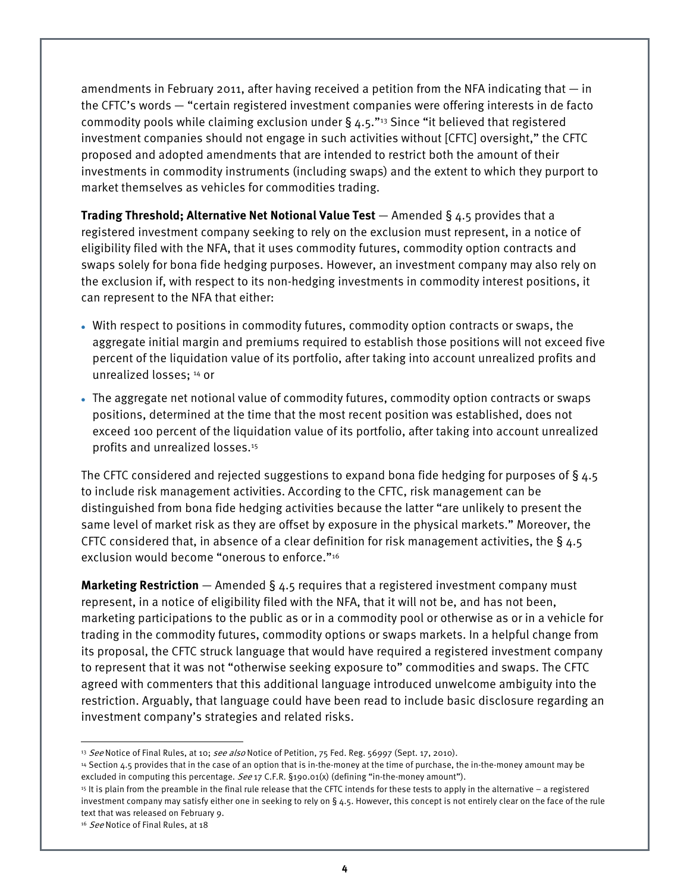amendments in February 2011, after having received a petition from the NFA indicating that  $-$  in the CFTC's words — "certain registered investment companies were offering interests in de facto commodity pools while claiming exclusion under  $\S$  4.5."<sup>13</sup> Since "it believed that registered investment companies should not engage in such activities without [CFTC] oversight," the CFTC proposed and adopted amendments that are intended to restrict both the amount of their investments in commodity instruments (including swaps) and the extent to which they purport to market themselves as vehicles for commodities trading.

**Trading Threshold; Alternative Net Notional Value Test** — Amended § 4.5 provides that a registered investment company seeking to rely on the exclusion must represent, in a notice of eligibility filed with the NFA, that it uses commodity futures, commodity option contracts and swaps solely for bona fide hedging purposes. However, an investment company may also rely on the exclusion if, with respect to its non-hedging investments in commodity interest positions, it can represent to the NFA that either:

- With respect to positions in commodity futures, commodity option contracts or swaps, the aggregate initial margin and premiums required to establish those positions will not exceed five percent of the liquidation value of its portfolio, after taking into account unrealized profits and unrealized losses; 14 or
- The aggregate net notional value of commodity futures, commodity option contracts or swaps positions, determined at the time that the most recent position was established, does not exceed 100 percent of the liquidation value of its portfolio, after taking into account unrealized profits and unrealized losses.15

The CFTC considered and rejected suggestions to expand bona fide hedging for purposes of § 4.5 to include risk management activities. According to the CFTC, risk management can be distinguished from bona fide hedging activities because the latter "are unlikely to present the same level of market risk as they are offset by exposure in the physical markets." Moreover, the CFTC considered that, in absence of a clear definition for risk management activities, the  $\S$  4.5 exclusion would become "onerous to enforce."16

**Marketing Restriction** — Amended § 4.5 requires that a registered investment company must represent, in a notice of eligibility filed with the NFA, that it will not be, and has not been, marketing participations to the public as or in a commodity pool or otherwise as or in a vehicle for trading in the commodity futures, commodity options or swaps markets. In a helpful change from its proposal, the CFTC struck language that would have required a registered investment company to represent that it was not "otherwise seeking exposure to" commodities and swaps. The CFTC agreed with commenters that this additional language introduced unwelcome ambiguity into the restriction. Arguably, that language could have been read to include basic disclosure regarding an investment company's strategies and related risks.

l

<sup>&</sup>lt;sup>13</sup> See Notice of Final Rules, at 10; see also Notice of Petition, 75 Fed. Reg. 56997 (Sept. 17, 2010).

<sup>14</sup> Section 4.5 provides that in the case of an option that is in-the-money at the time of purchase, the in-the-money amount may be excluded in computing this percentage. See 17 C.F.R. §190.01(x) (defining "in-the-money amount").

<sup>15</sup> It is plain from the preamble in the final rule release that the CFTC intends for these tests to apply in the alternative – a registered investment company may satisfy either one in seeking to rely on § 4.5. However, this concept is not entirely clear on the face of the rule text that was released on February 9.

<sup>&</sup>lt;sup>16</sup> See Notice of Final Rules, at 18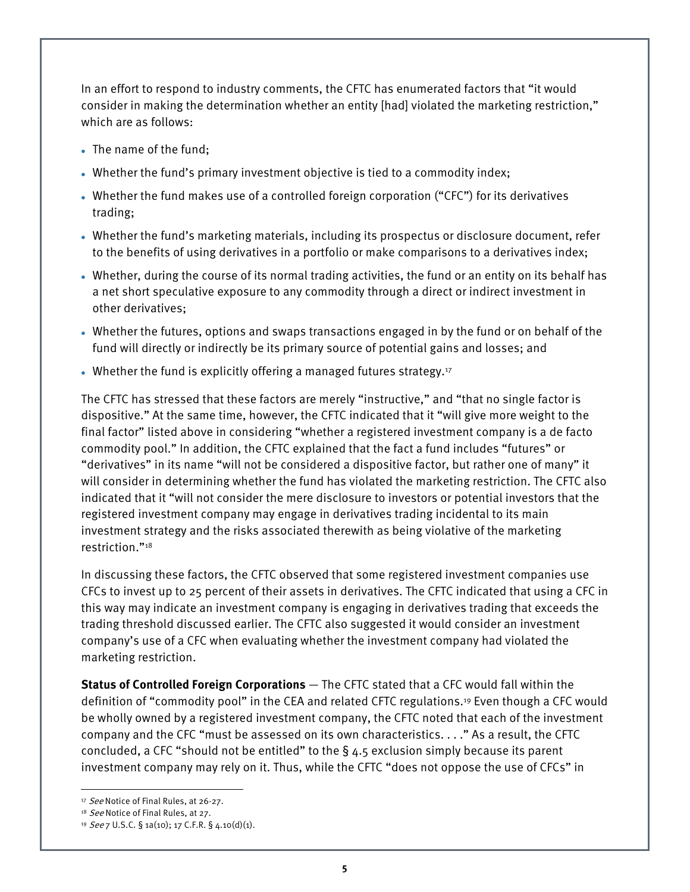In an effort to respond to industry comments, the CFTC has enumerated factors that "it would consider in making the determination whether an entity [had] violated the marketing restriction," which are as follows:

- The name of the fund;
- Whether the fund's primary investment objective is tied to a commodity index;
- Whether the fund makes use of a controlled foreign corporation ("CFC") for its derivatives trading;
- Whether the fund's marketing materials, including its prospectus or disclosure document, refer to the benefits of using derivatives in a portfolio or make comparisons to a derivatives index;
- Whether, during the course of its normal trading activities, the fund or an entity on its behalf has a net short speculative exposure to any commodity through a direct or indirect investment in other derivatives;
- Whether the futures, options and swaps transactions engaged in by the fund or on behalf of the fund will directly or indirectly be its primary source of potential gains and losses; and
- Whether the fund is explicitly offering a managed futures strategy.<sup>17</sup>

The CFTC has stressed that these factors are merely "instructive," and "that no single factor is dispositive." At the same time, however, the CFTC indicated that it "will give more weight to the final factor" listed above in considering "whether a registered investment company is a de facto commodity pool." In addition, the CFTC explained that the fact a fund includes "futures" or "derivatives" in its name "will not be considered a dispositive factor, but rather one of many" it will consider in determining whether the fund has violated the marketing restriction. The CFTC also indicated that it "will not consider the mere disclosure to investors or potential investors that the registered investment company may engage in derivatives trading incidental to its main investment strategy and the risks associated therewith as being violative of the marketing restriction."18

In discussing these factors, the CFTC observed that some registered investment companies use CFCs to invest up to 25 percent of their assets in derivatives. The CFTC indicated that using a CFC in this way may indicate an investment company is engaging in derivatives trading that exceeds the trading threshold discussed earlier. The CFTC also suggested it would consider an investment company's use of a CFC when evaluating whether the investment company had violated the marketing restriction.

**Status of Controlled Foreign Corporations** — The CFTC stated that a CFC would fall within the definition of "commodity pool" in the CEA and related CFTC regulations.19 Even though a CFC would be wholly owned by a registered investment company, the CFTC noted that each of the investment company and the CFC "must be assessed on its own characteristics. . . ." As a result, the CFTC concluded, a CFC "should not be entitled" to the  $\S$  4.5 exclusion simply because its parent investment company may rely on it. Thus, while the CFTC "does not oppose the use of CFCs" in

 $\overline{a}$ <sup>17</sup> See Notice of Final Rules, at 26-27.

<sup>&</sup>lt;sup>18</sup> See Notice of Final Rules, at 27.

<sup>19</sup> See 7 U.S.C. § 1a(10); 17 C.F.R. § 4.10(d)(1).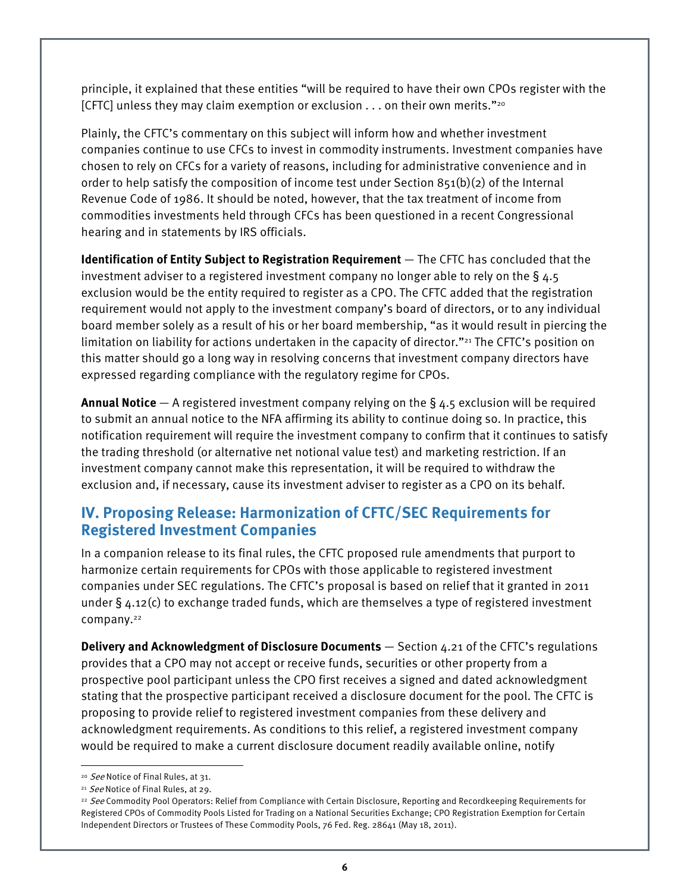principle, it explained that these entities "will be required to have their own CPOs register with the [CFTC] unless they may claim exemption or exclusion . . . on their own merits."20

Plainly, the CFTC's commentary on this subject will inform how and whether investment companies continue to use CFCs to invest in commodity instruments. Investment companies have chosen to rely on CFCs for a variety of reasons, including for administrative convenience and in order to help satisfy the composition of income test under Section 851(b)(2) of the Internal Revenue Code of 1986. It should be noted, however, that the tax treatment of income from commodities investments held through CFCs has been questioned in a recent Congressional hearing and in statements by IRS officials.

**Identification of Entity Subject to Registration Requirement** — The CFTC has concluded that the investment adviser to a registered investment company no longer able to rely on the  $\S$  4.5 exclusion would be the entity required to register as a CPO. The CFTC added that the registration requirement would not apply to the investment company's board of directors, or to any individual board member solely as a result of his or her board membership, "as it would result in piercing the limitation on liability for actions undertaken in the capacity of director."<sup>21</sup> The CFTC's position on this matter should go a long way in resolving concerns that investment company directors have expressed regarding compliance with the regulatory regime for CPOs.

**Annual Notice** — A registered investment company relying on the § 4.5 exclusion will be required to submit an annual notice to the NFA affirming its ability to continue doing so. In practice, this notification requirement will require the investment company to confirm that it continues to satisfy the trading threshold (or alternative net notional value test) and marketing restriction. If an investment company cannot make this representation, it will be required to withdraw the exclusion and, if necessary, cause its investment adviser to register as a CPO on its behalf.

### **IV. Proposing Release: Harmonization of CFTC/SEC Requirements for Registered Investment Companies**

In a companion release to its final rules, the CFTC proposed rule amendments that purport to harmonize certain requirements for CPOs with those applicable to registered investment companies under SEC regulations. The CFTC's proposal is based on relief that it granted in 2011 under § 4.12(c) to exchange traded funds, which are themselves a type of registered investment company.<sup>22</sup>

**Delivery and Acknowledgment of Disclosure Documents** — Section 4.21 of the CFTC's regulations provides that a CPO may not accept or receive funds, securities or other property from a prospective pool participant unless the CPO first receives a signed and dated acknowledgment stating that the prospective participant received a disclosure document for the pool. The CFTC is proposing to provide relief to registered investment companies from these delivery and acknowledgment requirements. As conditions to this relief, a registered investment company would be required to make a current disclosure document readily available online, notify

l

<sup>&</sup>lt;sup>20</sup> See Notice of Final Rules, at 31.

<sup>&</sup>lt;sup>21</sup> See Notice of Final Rules, at 29.

<sup>&</sup>lt;sup>22</sup> See Commodity Pool Operators: Relief from Compliance with Certain Disclosure, Reporting and Recordkeeping Requirements for Registered CPOs of Commodity Pools Listed for Trading on a National Securities Exchange; CPO Registration Exemption for Certain Independent Directors or Trustees of These Commodity Pools, 76 Fed. Reg. 28641 (May 18, 2011).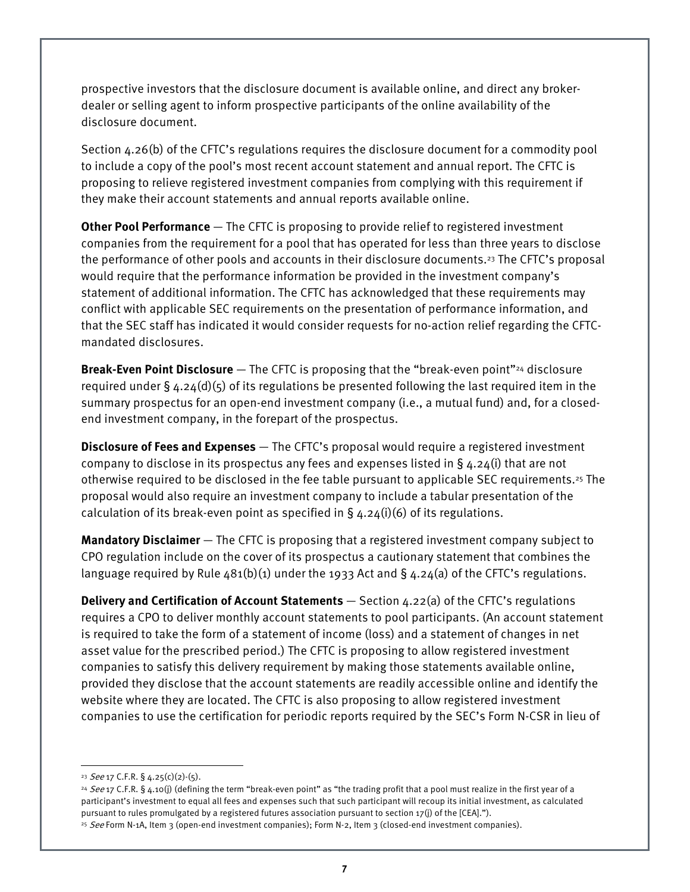prospective investors that the disclosure document is available online, and direct any brokerdealer or selling agent to inform prospective participants of the online availability of the disclosure document.

Section 4.26(b) of the CFTC's regulations requires the disclosure document for a commodity pool to include a copy of the pool's most recent account statement and annual report. The CFTC is proposing to relieve registered investment companies from complying with this requirement if they make their account statements and annual reports available online.

**Other Pool Performance** — The CFTC is proposing to provide relief to registered investment companies from the requirement for a pool that has operated for less than three years to disclose the performance of other pools and accounts in their disclosure documents.23 The CFTC's proposal would require that the performance information be provided in the investment company's statement of additional information. The CFTC has acknowledged that these requirements may conflict with applicable SEC requirements on the presentation of performance information, and that the SEC staff has indicated it would consider requests for no-action relief regarding the CFTCmandated disclosures.

**Break-Even Point Disclosure** — The CFTC is proposing that the "break-even point"24 disclosure required under  $\S$  4.24(d)(5) of its regulations be presented following the last required item in the summary prospectus for an open-end investment company (i.e., a mutual fund) and, for a closedend investment company, in the forepart of the prospectus.

**Disclosure of Fees and Expenses** — The CFTC's proposal would require a registered investment company to disclose in its prospectus any fees and expenses listed in  $\S$  4.24(i) that are not otherwise required to be disclosed in the fee table pursuant to applicable SEC requirements.25 The proposal would also require an investment company to include a tabular presentation of the calculation of its break-even point as specified in  $\S$  4.24(i)(6) of its regulations.

**Mandatory Disclaimer** — The CFTC is proposing that a registered investment company subject to CPO regulation include on the cover of its prospectus a cautionary statement that combines the language required by Rule  $481(b)(1)$  under the 1933 Act and § 4.24(a) of the CFTC's regulations.

**Delivery and Certification of Account Statements** — Section 4.22(a) of the CFTC's regulations requires a CPO to deliver monthly account statements to pool participants. (An account statement is required to take the form of a statement of income (loss) and a statement of changes in net asset value for the prescribed period.) The CFTC is proposing to allow registered investment companies to satisfy this delivery requirement by making those statements available online, provided they disclose that the account statements are readily accessible online and identify the website where they are located. The CFTC is also proposing to allow registered investment companies to use the certification for periodic reports required by the SEC's Form N-CSR in lieu of

l

<sup>&</sup>lt;sup>23</sup> See 17 C.F.R. § 4.25(c)(2)-(5).

<sup>&</sup>lt;sup>24</sup> See 17 C.F.R. § 4.10(j) (defining the term "break-even point" as "the trading profit that a pool must realize in the first year of a participant's investment to equal all fees and expenses such that such participant will recoup its initial investment, as calculated pursuant to rules promulgated by a registered futures association pursuant to section 17(j) of the [CEA].").

<sup>&</sup>lt;sup>25</sup> See Form N-1A, Item 3 (open-end investment companies); Form N-2, Item 3 (closed-end investment companies).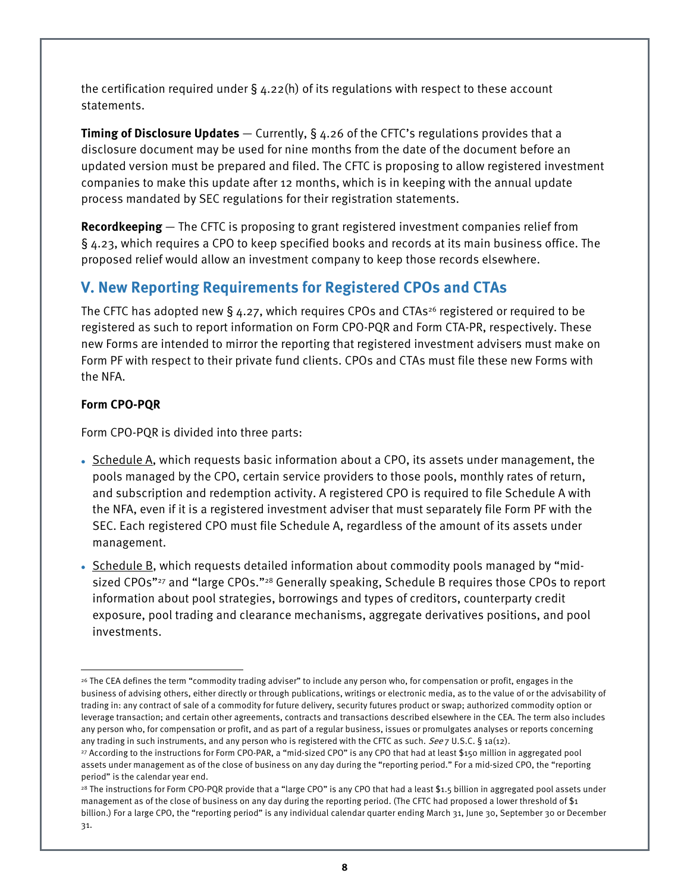the certification required under  $\S$  4.22(h) of its regulations with respect to these account statements.

**Timing of Disclosure Updates** — Currently, § 4.26 of the CFTC's regulations provides that a disclosure document may be used for nine months from the date of the document before an updated version must be prepared and filed. The CFTC is proposing to allow registered investment companies to make this update after 12 months, which is in keeping with the annual update process mandated by SEC regulations for their registration statements.

**Recordkeeping** — The CFTC is proposing to grant registered investment companies relief from § 4.23, which requires a CPO to keep specified books and records at its main business office. The proposed relief would allow an investment company to keep those records elsewhere.

# **V. New Reporting Requirements for Registered CPOs and CTAs**

The CFTC has adopted new § 4.27, which requires CPOs and CTAs<sup>26</sup> registered or required to be registered as such to report information on Form CPO-PQR and Form CTA-PR, respectively. These new Forms are intended to mirror the reporting that registered investment advisers must make on Form PF with respect to their private fund clients. CPOs and CTAs must file these new Forms with the NFA.

### **Form CPO-PQR**

l

Form CPO-PQR is divided into three parts:

- Schedule A, which requests basic information about a CPO, its assets under management, the pools managed by the CPO, certain service providers to those pools, monthly rates of return, and subscription and redemption activity. A registered CPO is required to file Schedule A with the NFA, even if it is a registered investment adviser that must separately file Form PF with the SEC. Each registered CPO must file Schedule A, regardless of the amount of its assets under management.
- Schedule B, which requests detailed information about commodity pools managed by "midsized CPOs"<sup>27</sup> and "large CPOs."<sup>28</sup> Generally speaking, Schedule B requires those CPOs to report information about pool strategies, borrowings and types of creditors, counterparty credit exposure, pool trading and clearance mechanisms, aggregate derivatives positions, and pool investments.

<sup>-</sup>26 The CEA defines the term "commodity trading adviser" to include any person who, for compensation or profit, engages in the business of advising others, either directly or through publications, writings or electronic media, as to the value of or the advisability of trading in: any contract of sale of a commodity for future delivery, security futures product or swap; authorized commodity option or leverage transaction; and certain other agreements, contracts and transactions described elsewhere in the CEA. The term also includes any person who, for compensation or profit, and as part of a regular business, issues or promulgates analyses or reports concerning any trading in such instruments, and any person who is registered with the CFTC as such. See 7 U.S.C. § 1a(12).

<sup>27</sup> According to the instructions for Form CPO-PAR, a "mid-sized CPO" is any CPO that had at least \$150 million in aggregated pool assets under management as of the close of business on any day during the "reporting period." For a mid-sized CPO, the "reporting period" is the calendar year end.

<sup>&</sup>lt;sup>28</sup> The instructions for Form CPO-PQR provide that a "large CPO" is any CPO that had a least \$1.5 billion in aggregated pool assets under management as of the close of business on any day during the reporting period. (The CFTC had proposed a lower threshold of \$1 billion.) For a large CPO, the "reporting period" is any individual calendar quarter ending March 31, June 30, September 30 or December 31.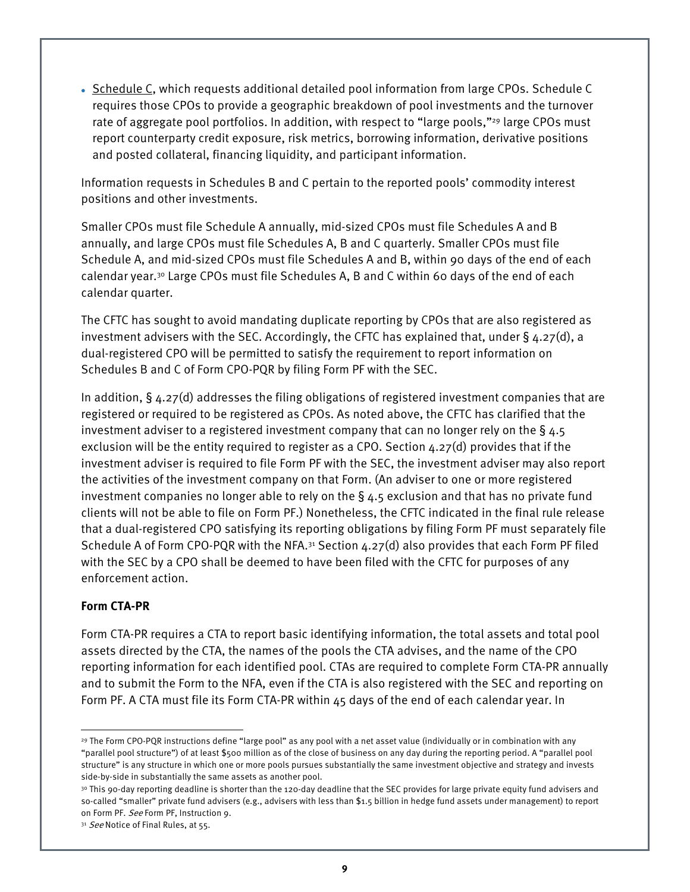• Schedule C, which requests additional detailed pool information from large CPOs. Schedule C requires those CPOs to provide a geographic breakdown of pool investments and the turnover rate of aggregate pool portfolios. In addition, with respect to "large pools,"<sup>29</sup> large CPOs must report counterparty credit exposure, risk metrics, borrowing information, derivative positions and posted collateral, financing liquidity, and participant information.

Information requests in Schedules B and C pertain to the reported pools' commodity interest positions and other investments.

Smaller CPOs must file Schedule A annually, mid-sized CPOs must file Schedules A and B annually, and large CPOs must file Schedules A, B and C quarterly. Smaller CPOs must file Schedule A, and mid-sized CPOs must file Schedules A and B, within 90 days of the end of each calendar year.30 Large CPOs must file Schedules A, B and C within 60 days of the end of each calendar quarter.

The CFTC has sought to avoid mandating duplicate reporting by CPOs that are also registered as investment advisers with the SEC. Accordingly, the CFTC has explained that, under  $\S$  4.27(d), a dual-registered CPO will be permitted to satisfy the requirement to report information on Schedules B and C of Form CPO-PQR by filing Form PF with the SEC.

In addition,  $\S$  4.27(d) addresses the filing obligations of registered investment companies that are registered or required to be registered as CPOs. As noted above, the CFTC has clarified that the investment adviser to a registered investment company that can no longer rely on the  $\S$  4.5 exclusion will be the entity required to register as a CPO. Section 4.27(d) provides that if the investment adviser is required to file Form PF with the SEC, the investment adviser may also report the activities of the investment company on that Form. (An adviser to one or more registered investment companies no longer able to rely on the  $\S$  4.5 exclusion and that has no private fund clients will not be able to file on Form PF.) Nonetheless, the CFTC indicated in the final rule release that a dual-registered CPO satisfying its reporting obligations by filing Form PF must separately file Schedule A of Form CPO-PQR with the NFA.<sup>31</sup> Section  $4.27(d)$  also provides that each Form PF filed with the SEC by a CPO shall be deemed to have been filed with the CFTC for purposes of any enforcement action.

#### **Form CTA-PR**

Form CTA-PR requires a CTA to report basic identifying information, the total assets and total pool assets directed by the CTA, the names of the pools the CTA advises, and the name of the CPO reporting information for each identified pool. CTAs are required to complete Form CTA-PR annually and to submit the Form to the NFA, even if the CTA is also registered with the SEC and reporting on Form PF. A CTA must file its Form CTA-PR within 45 days of the end of each calendar year. In

<sup>-</sup>29 The Form CPO-PQR instructions define "large pool" as any pool with a net asset value (individually or in combination with any "parallel pool structure") of at least \$500 million as of the close of business on any day during the reporting period. A "parallel pool structure" is any structure in which one or more pools pursues substantially the same investment objective and strategy and invests side-by-side in substantially the same assets as another pool.

<sup>30</sup> This 90-day reporting deadline is shorter than the 120-day deadline that the SEC provides for large private equity fund advisers and so-called "smaller" private fund advisers (e.g., advisers with less than \$1.5 billion in hedge fund assets under management) to report on Form PF. See Form PF, Instruction 9.

<sup>31</sup> See Notice of Final Rules, at 55.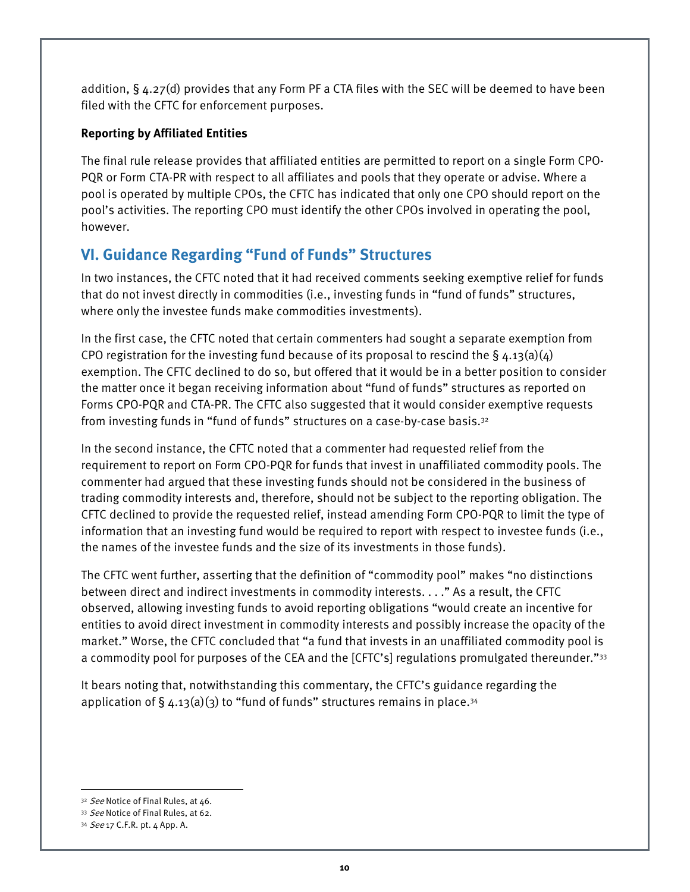addition, § 4.27(d) provides that any Form PF a CTA files with the SEC will be deemed to have been filed with the CFTC for enforcement purposes.

### **Reporting by Affiliated Entities**

The final rule release provides that affiliated entities are permitted to report on a single Form CPO-PQR or Form CTA-PR with respect to all affiliates and pools that they operate or advise. Where a pool is operated by multiple CPOs, the CFTC has indicated that only one CPO should report on the pool's activities. The reporting CPO must identify the other CPOs involved in operating the pool, however.

## **VI. Guidance Regarding "Fund of Funds" Structures**

In two instances, the CFTC noted that it had received comments seeking exemptive relief for funds that do not invest directly in commodities (i.e., investing funds in "fund of funds" structures, where only the investee funds make commodities investments).

In the first case, the CFTC noted that certain commenters had sought a separate exemption from CPO registration for the investing fund because of its proposal to rescind the  $\S$  4.13(a)(4) exemption. The CFTC declined to do so, but offered that it would be in a better position to consider the matter once it began receiving information about "fund of funds" structures as reported on Forms CPO-PQR and CTA-PR. The CFTC also suggested that it would consider exemptive requests from investing funds in "fund of funds" structures on a case-by-case basis.<sup>32</sup>

In the second instance, the CFTC noted that a commenter had requested relief from the requirement to report on Form CPO-PQR for funds that invest in unaffiliated commodity pools. The commenter had argued that these investing funds should not be considered in the business of trading commodity interests and, therefore, should not be subject to the reporting obligation. The CFTC declined to provide the requested relief, instead amending Form CPO-PQR to limit the type of information that an investing fund would be required to report with respect to investee funds (i.e., the names of the investee funds and the size of its investments in those funds).

The CFTC went further, asserting that the definition of "commodity pool" makes "no distinctions between direct and indirect investments in commodity interests. . . ." As a result, the CFTC observed, allowing investing funds to avoid reporting obligations "would create an incentive for entities to avoid direct investment in commodity interests and possibly increase the opacity of the market." Worse, the CFTC concluded that "a fund that invests in an unaffiliated commodity pool is a commodity pool for purposes of the CEA and the [CFTC's] regulations promulgated thereunder."33

It bears noting that, notwithstanding this commentary, the CFTC's guidance regarding the application of  $\S$  4.13(a)(3) to "fund of funds" structures remains in place.<sup>34</sup>

 $\overline{a}$ 32 See Notice of Final Rules, at 46.

<sup>33</sup> See Notice of Final Rules, at 62.

<sup>34</sup> See 17 C.F.R. pt. 4 App. A.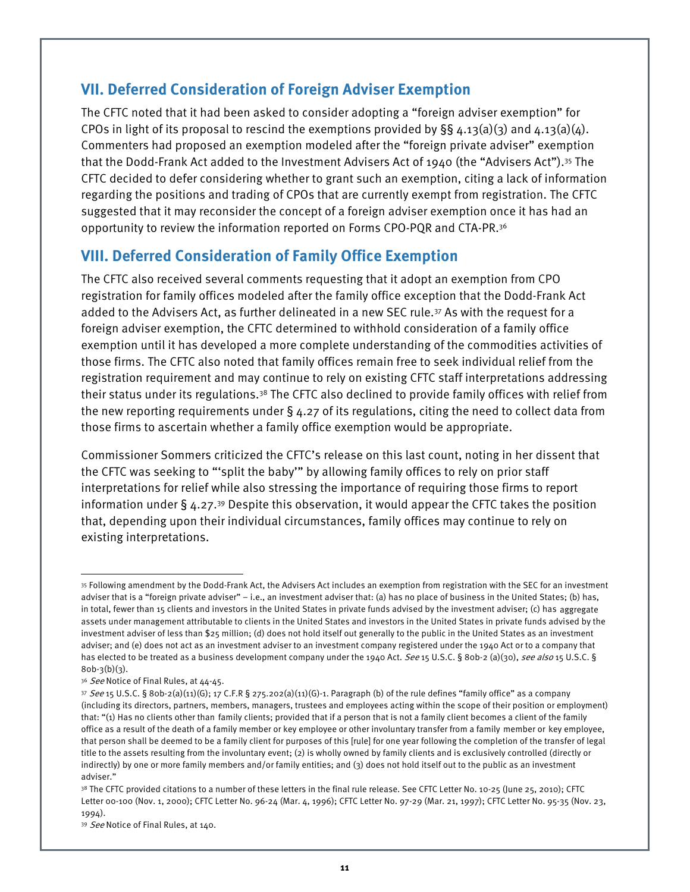### **VII. Deferred Consideration of Foreign Adviser Exemption**

The CFTC noted that it had been asked to consider adopting a "foreign adviser exemption" for CPOs in light of its proposal to rescind the exemptions provided by  $\S$ § 4.13(a)(3) and 4.13(a)(4). Commenters had proposed an exemption modeled after the "foreign private adviser" exemption that the Dodd-Frank Act added to the Investment Advisers Act of 1940 (the "Advisers Act").35 The CFTC decided to defer considering whether to grant such an exemption, citing a lack of information regarding the positions and trading of CPOs that are currently exempt from registration. The CFTC suggested that it may reconsider the concept of a foreign adviser exemption once it has had an opportunity to review the information reported on Forms CPO-PQR and CTA-PR.36

## **VIII. Deferred Consideration of Family Office Exemption**

The CFTC also received several comments requesting that it adopt an exemption from CPO registration for family offices modeled after the family office exception that the Dodd-Frank Act added to the Advisers Act, as further delineated in a new SEC rule.37 As with the request for a foreign adviser exemption, the CFTC determined to withhold consideration of a family office exemption until it has developed a more complete understanding of the commodities activities of those firms. The CFTC also noted that family offices remain free to seek individual relief from the registration requirement and may continue to rely on existing CFTC staff interpretations addressing their status under its regulations.38 The CFTC also declined to provide family offices with relief from the new reporting requirements under § 4.27 of its regulations, citing the need to collect data from those firms to ascertain whether a family office exemption would be appropriate.

Commissioner Sommers criticized the CFTC's release on this last count, noting in her dissent that the CFTC was seeking to "'split the baby'" by allowing family offices to rely on prior staff interpretations for relief while also stressing the importance of requiring those firms to report information under  $\S 4.27^{39}$  Despite this observation, it would appear the CFTC takes the position that, depending upon their individual circumstances, family offices may continue to rely on existing interpretations.

l

<sup>35</sup> Following amendment by the Dodd-Frank Act, the Advisers Act includes an exemption from registration with the SEC for an investment adviser that is a "foreign private adviser" – i.e., an investment adviser that: (a) has no place of business in the United States; (b) has, in total, fewer than 15 clients and investors in the United States in private funds advised by the investment adviser; (c) has aggregate assets under management attributable to clients in the United States and investors in the United States in private funds advised by the investment adviser of less than \$25 million; (d) does not hold itself out generally to the public in the United States as an investment adviser; and (e) does not act as an investment adviser to an investment company registered under the 1940 Act or to a company that has elected to be treated as a business development company under the 1940 Act. See 15 U.S.C. § 80b-2 (a)(30), see also 15 U.S.C. §  $80b-3(b)(3)$ .

<sup>36</sup> See Notice of Final Rules, at 44-45.

<sup>37</sup> See 15 U.S.C. § 80b-2(a)(11)(G); 17 C.F.R § 275.202(a)(11)(G)-1. Paragraph (b) of the rule defines "family office" as a company (including its directors, partners, members, managers, trustees and employees acting within the scope of their position or employment) that: "(1) Has no clients other than family clients; provided that if a person that is not a family client becomes a client of the family office as a result of the death of a family member or key employee or other involuntary transfer from a family member or key employee, that person shall be deemed to be a family client for purposes of this [rule] for one year following the completion of the transfer of legal title to the assets resulting from the involuntary event; (2) is wholly owned by family clients and is exclusively controlled (directly or indirectly) by one or more family members and/or family entities; and (3) does not hold itself out to the public as an investment adviser."

<sup>38</sup> The CFTC provided citations to a number of these letters in the final rule release. See CFTC Letter No. 10-25 (June 25, 2010); CFTC Letter 00-100 (Nov. 1, 2000); CFTC Letter No. 96-24 (Mar. 4, 1996); CFTC Letter No. 97-29 (Mar. 21, 1997); CFTC Letter No. 95-35 (Nov. 23, 1994).

<sup>39</sup> See Notice of Final Rules, at 140.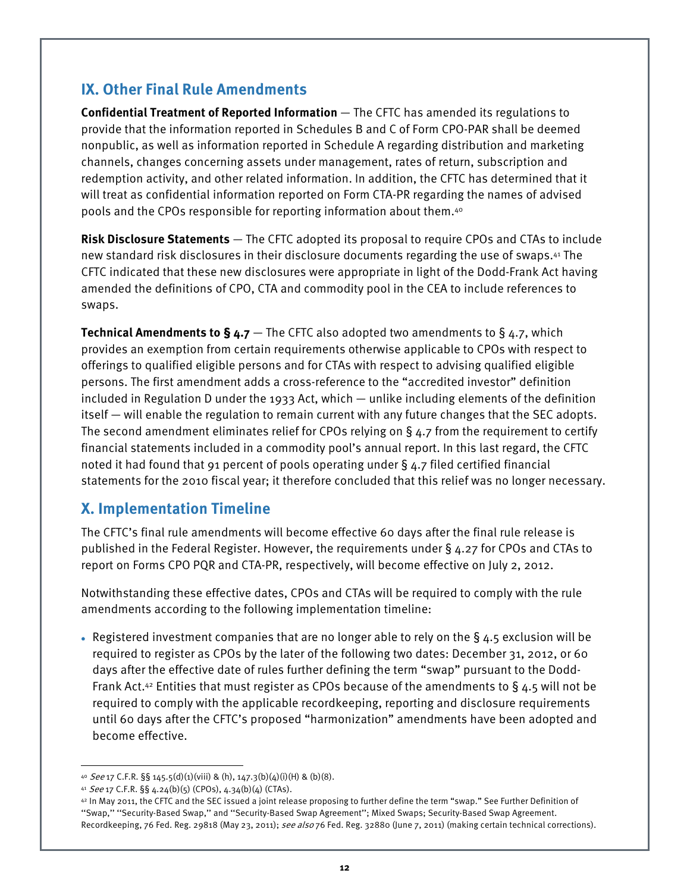## **IX. Other Final Rule Amendments**

**Confidential Treatment of Reported Information** — The CFTC has amended its regulations to provide that the information reported in Schedules B and C of Form CPO-PAR shall be deemed nonpublic, as well as information reported in Schedule A regarding distribution and marketing channels, changes concerning assets under management, rates of return, subscription and redemption activity, and other related information. In addition, the CFTC has determined that it will treat as confidential information reported on Form CTA-PR regarding the names of advised pools and the CPOs responsible for reporting information about them.40

**Risk Disclosure Statements** — The CFTC adopted its proposal to require CPOs and CTAs to include new standard risk disclosures in their disclosure documents regarding the use of swaps.41 The CFTC indicated that these new disclosures were appropriate in light of the Dodd-Frank Act having amended the definitions of CPO, CTA and commodity pool in the CEA to include references to swaps.

**Technical Amendments to § 4.7** — The CFTC also adopted two amendments to § 4.7, which provides an exemption from certain requirements otherwise applicable to CPOs with respect to offerings to qualified eligible persons and for CTAs with respect to advising qualified eligible persons. The first amendment adds a cross-reference to the "accredited investor" definition included in Regulation D under the 1933 Act, which — unlike including elements of the definition itself — will enable the regulation to remain current with any future changes that the SEC adopts. The second amendment eliminates relief for CPOs relying on § 4.7 from the requirement to certify financial statements included in a commodity pool's annual report. In this last regard, the CFTC noted it had found that 91 percent of pools operating under § 4.7 filed certified financial statements for the 2010 fiscal year; it therefore concluded that this relief was no longer necessary.

## **X. Implementation Timeline**

The CFTC's final rule amendments will become effective 60 days after the final rule release is published in the Federal Register. However, the requirements under § 4.27 for CPOs and CTAs to report on Forms CPO PQR and CTA-PR, respectively, will become effective on July 2, 2012.

Notwithstanding these effective dates, CPOs and CTAs will be required to comply with the rule amendments according to the following implementation timeline:

• Registered investment companies that are no longer able to rely on the  $\S$  4.5 exclusion will be required to register as CPOs by the later of the following two dates: December 31, 2012, or 60 days after the effective date of rules further defining the term "swap" pursuant to the Dodd-Frank Act.<sup>42</sup> Entities that must register as CPOs because of the amendments to §4.5 will not be required to comply with the applicable recordkeeping, reporting and disclosure requirements until 60 days after the CFTC's proposed "harmonization" amendments have been adopted and become effective.

<sup>-</sup>40 See 17 C.F.R. §§ 145.5(d)(1)(viii) & (h), 147.3(b)(4)(i)(H) & (b)(8).

<sup>41</sup> See 17 C.F.R. §§ 4.24(b)(5) (CPOs),  $4.34(b)(4)$  (CTAs).

<sup>42</sup> In May 2011, the CFTC and the SEC issued a joint release proposing to further define the term "swap." See Further Definition of ''Swap,'' ''Security-Based Swap,'' and ''Security-Based Swap Agreement''; Mixed Swaps; Security-Based Swap Agreement. Recordkeeping, 76 Fed. Reg. 29818 (May 23, 2011); see also 76 Fed. Reg. 32880 (June 7, 2011) (making certain technical corrections).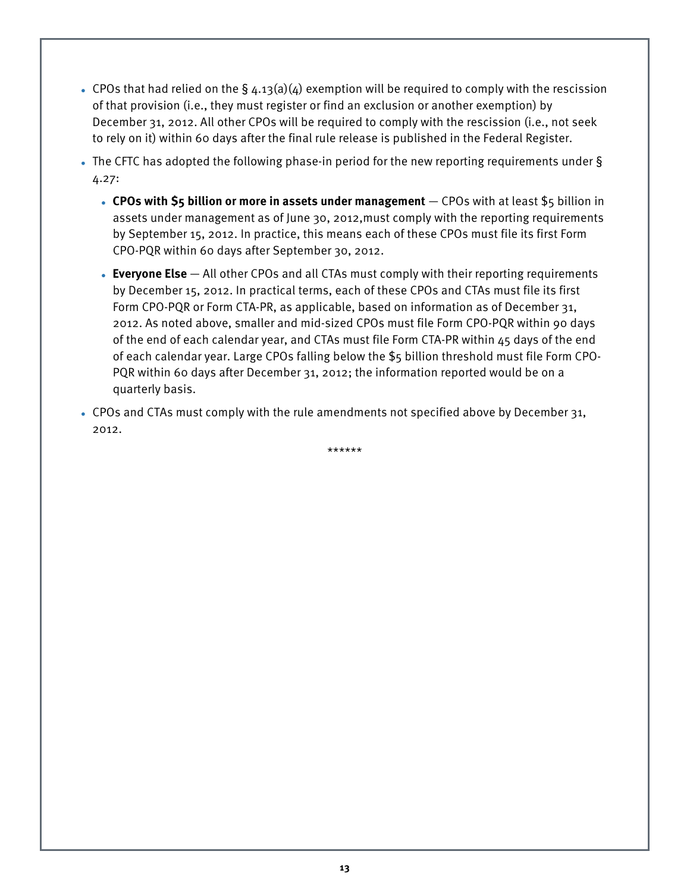- CPOs that had relied on the  $\S$  4.13(a)(4) exemption will be required to comply with the rescission of that provision (i.e., they must register or find an exclusion or another exemption) by December 31, 2012. All other CPOs will be required to comply with the rescission (i.e., not seek to rely on it) within 60 days after the final rule release is published in the Federal Register.
- The CFTC has adopted the following phase-in period for the new reporting requirements under § 4.27:
	- **CPOs with \$5 billion or more in assets under management** CPOs with at least \$5 billion in assets under management as of June 30, 2012,must comply with the reporting requirements by September 15, 2012. In practice, this means each of these CPOs must file its first Form CPO-PQR within 60 days after September 30, 2012.
	- **Everyone Else** All other CPOs and all CTAs must comply with their reporting requirements by December 15, 2012. In practical terms, each of these CPOs and CTAs must file its first Form CPO-PQR or Form CTA-PR, as applicable, based on information as of December 31, 2012. As noted above, smaller and mid-sized CPOs must file Form CPO-PQR within 90 days of the end of each calendar year, and CTAs must file Form CTA-PR within 45 days of the end of each calendar year. Large CPOs falling below the \$5 billion threshold must file Form CPO-PQR within 60 days after December 31, 2012; the information reported would be on a quarterly basis.
- CPOs and CTAs must comply with the rule amendments not specified above by December 31, 2012.

\*\*\*\*\*\*